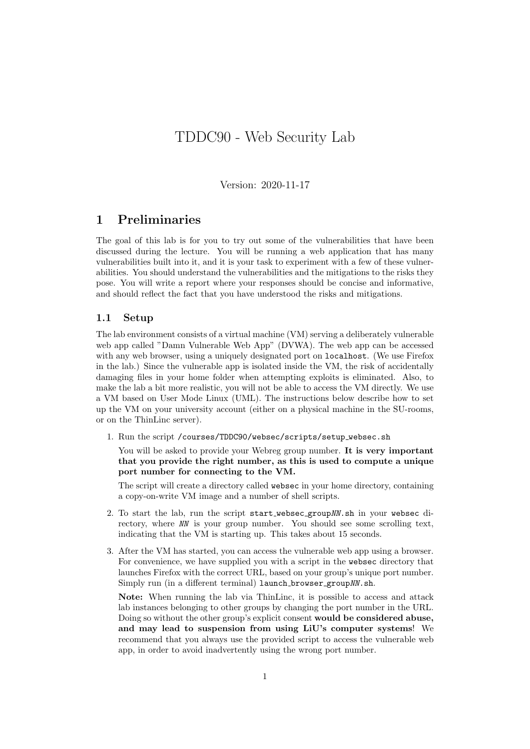# TDDC90 - Web Security Lab

Version: 2020-11-17

### 1 Preliminaries

The goal of this lab is for you to try out some of the vulnerabilities that have been discussed during the lecture. You will be running a web application that has many vulnerabilities built into it, and it is your task to experiment with a few of these vulnerabilities. You should understand the vulnerabilities and the mitigations to the risks they pose. You will write a report where your responses should be concise and informative, and should reflect the fact that you have understood the risks and mitigations.

#### 1.1 Setup

The lab environment consists of a virtual machine (VM) serving a deliberately vulnerable web app called "Damn Vulnerable Web App" (DVWA). The web app can be accessed with any web browser, using a uniquely designated port on **localhost**. (We use Firefox in the lab.) Since the vulnerable app is isolated inside the VM, the risk of accidentally damaging files in your home folder when attempting exploits is eliminated. Also, to make the lab a bit more realistic, you will not be able to access the VM directly. We use a VM based on User Mode Linux (UML). The instructions below describe how to set up the VM on your university account (either on a physical machine in the SU-rooms, or on the ThinLinc server).

1. Run the script /courses/TDDC90/websec/scripts/setup websec.sh

You will be asked to provide your Webreg group number. It is very important that you provide the right number, as this is used to compute a unique port number for connecting to the VM.

The script will create a directory called websec in your home directory, containing a copy-on-write VM image and a number of shell scripts.

- 2. To start the lab, run the script start websec groupNN.sh in your websec directory, where NN is your group number. You should see some scrolling text, indicating that the VM is starting up. This takes about 15 seconds.
- 3. After the VM has started, you can access the vulnerable web app using a browser. For convenience, we have supplied you with a script in the websec directory that launches Firefox with the correct URL, based on your group's unique port number. Simply run (in a different terminal) launch browser group NN.sh.

Note: When running the lab via ThinLinc, it is possible to access and attack lab instances belonging to other groups by changing the port number in the URL. Doing so without the other group's explicit consent would be considered abuse, and may lead to suspension from using LiU's computer systems! We recommend that you always use the provided script to access the vulnerable web app, in order to avoid inadvertently using the wrong port number.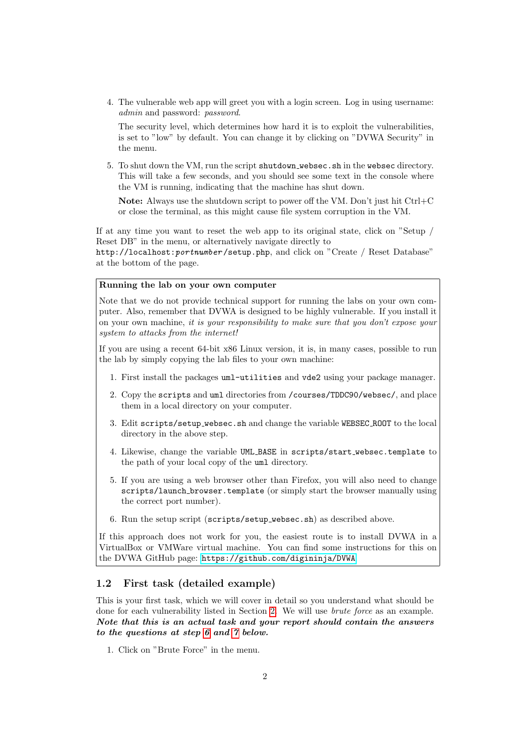4. The vulnerable web app will greet you with a login screen. Log in using username: admin and password: password.

The security level, which determines how hard it is to exploit the vulnerabilities, is set to "low" by default. You can change it by clicking on "DVWA Security" in the menu.

5. To shut down the VM, run the script shutdown websec.sh in the websec directory. This will take a few seconds, and you should see some text in the console where the VM is running, indicating that the machine has shut down.

Note: Always use the shutdown script to power off the VM. Don't just hit Ctrl+C or close the terminal, as this might cause file system corruption in the VM.

If at any time you want to reset the web app to its original state, click on "Setup / Reset DB" in the menu, or alternatively navigate directly to

http://localhost:portnumber/setup.php, and click on "Create / Reset Database" at the bottom of the page.

#### Running the lab on your own computer

Note that we do not provide technical support for running the labs on your own computer. Also, remember that DVWA is designed to be highly vulnerable. If you install it on your own machine, it is your responsibility to make sure that you don't expose your system to attacks from the internet!

If you are using a recent 64-bit x86 Linux version, it is, in many cases, possible to run the lab by simply copying the lab files to your own machine:

- 1. First install the packages uml-utilities and vde2 using your package manager.
- 2. Copy the scripts and uml directories from /courses/TDDC90/websec/, and place them in a local directory on your computer.
- 3. Edit scripts/setup websec.sh and change the variable WEBSEC ROOT to the local directory in the above step.
- 4. Likewise, change the variable UML BASE in scripts/start websec.template to the path of your local copy of the uml directory.
- 5. If you are using a web browser other than Firefox, you will also need to change scripts/launch browser.template (or simply start the browser manually using the correct port number).
- 6. Run the setup script (scripts/setup websec.sh) as described above.

If this approach does not work for you, the easiest route is to install DVWA in a VirtualBox or VMWare virtual machine. You can find some instructions for this on the DVWA GitHub page: <https://github.com/digininja/DVWA>

### <span id="page-1-0"></span>1.2 First task (detailed example)

This is your first task, which we will cover in detail so you understand what should be done for each vulnerability listed in Section [2.](#page-2-0) We will use brute force as an example. Note that this is an actual task and your report should contain the answers to the questions at step [6](#page-2-1) and [7](#page-2-2) below.

1. Click on "Brute Force" in the menu.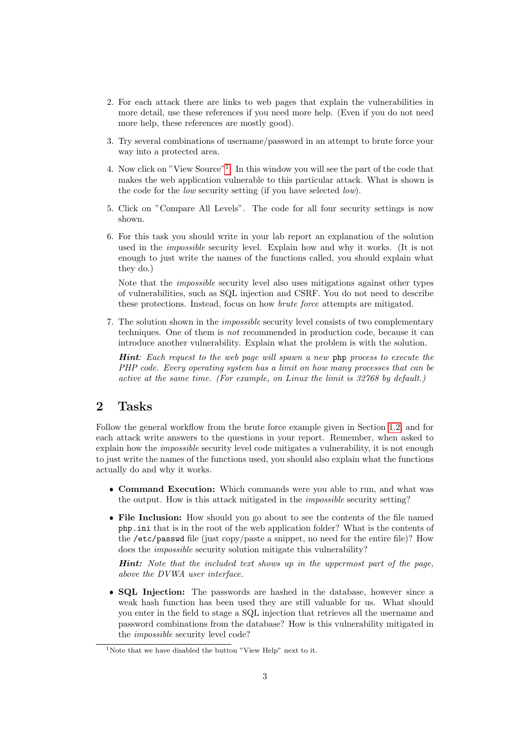- 2. For each attack there are links to web pages that explain the vulnerabilities in more detail, use these references if you need more help. (Even if you do not need more help, these references are mostly good).
- 3. Try several combinations of username/password in an attempt to brute force your way into a protected area.
- 4. Now click on "View Source"[1](#page-2-3) . In this window you will see the part of the code that makes the web application vulnerable to this particular attack. What is shown is the code for the low security setting (if you have selected low).
- 5. Click on "Compare All Levels". The code for all four security settings is now shown.
- <span id="page-2-1"></span>6. For this task you should write in your lab report an explanation of the solution used in the impossible security level. Explain how and why it works. (It is not enough to just write the names of the functions called, you should explain what they do.)

Note that the impossible security level also uses mitigations against other types of vulnerabilities, such as SQL injection and CSRF. You do not need to describe these protections. Instead, focus on how brute force attempts are mitigated.

<span id="page-2-2"></span>7. The solution shown in the impossible security level consists of two complementary techniques. One of them is not recommended in production code, because it can introduce another vulnerability. Explain what the problem is with the solution.

Hint: Each request to the web page will spawn a new php process to execute the PHP code. Every operating system has a limit on how many processes that can be active at the same time. (For example, on Linux the limit is 32768 by default.)

## <span id="page-2-0"></span>2 Tasks

Follow the general workflow from the brute force example given in Section [1.2,](#page-1-0) and for each attack write answers to the questions in your report. Remember, when asked to explain how the impossible security level code mitigates a vulnerability, it is not enough to just write the names of the functions used, you should also explain what the functions actually do and why it works.

- Command Execution: Which commands were you able to run, and what was the output. How is this attack mitigated in the impossible security setting?
- File Inclusion: How should you go about to see the contents of the file named php.ini that is in the root of the web application folder? What is the contents of the /etc/passwd file (just copy/paste a snippet, no need for the entire file)? How does the impossible security solution mitigate this vulnerability?

Hint: Note that the included text shows up in the uppermost part of the page, above the DVWA user interface.

• SQL Injection: The passwords are hashed in the database, however since a weak hash function has been used they are still valuable for us. What should you enter in the field to stage a SQL injection that retrieves all the username and password combinations from the database? How is this vulnerability mitigated in the impossible security level code?

<span id="page-2-3"></span><sup>&</sup>lt;sup>1</sup>Note that we have disabled the button "View Help" next to it.